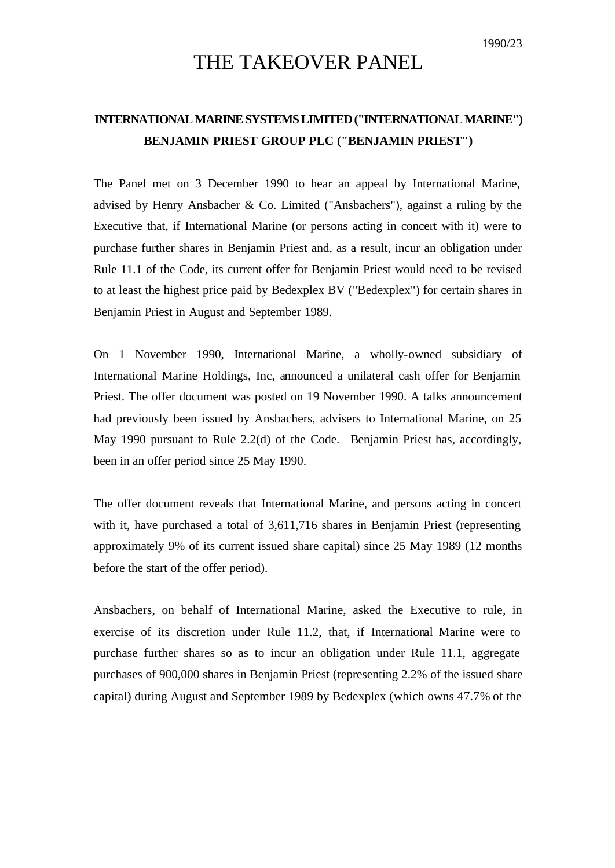## THE TAKEOVER PANEL

## **INTERNATIONAL MARINE SYSTEMS LIMITED ("INTERNATIONAL MARINE") BENJAMIN PRIEST GROUP PLC ("BENJAMIN PRIEST")**

The Panel met on 3 December 1990 to hear an appeal by International Marine, advised by Henry Ansbacher & Co. Limited ("Ansbachers"), against a ruling by the Executive that, if International Marine (or persons acting in concert with it) were to purchase further shares in Benjamin Priest and, as a result, incur an obligation under Rule 11.1 of the Code, its current offer for Benjamin Priest would need to be revised to at least the highest price paid by Bedexplex BV ("Bedexplex") for certain shares in Benjamin Priest in August and September 1989.

On 1 November 1990, International Marine, a wholly-owned subsidiary of International Marine Holdings, Inc, announced a unilateral cash offer for Benjamin Priest. The offer document was posted on 19 November 1990. A talks announcement had previously been issued by Ansbachers, advisers to International Marine, on 25 May 1990 pursuant to Rule 2.2(d) of the Code. Benjamin Priest has, accordingly, been in an offer period since 25 May 1990.

The offer document reveals that International Marine, and persons acting in concert with it, have purchased a total of 3,611,716 shares in Benjamin Priest (representing approximately 9% of its current issued share capital) since 25 May 1989 (12 months before the start of the offer period).

Ansbachers, on behalf of International Marine, asked the Executive to rule, in exercise of its discretion under Rule 11.2, that, if International Marine were to purchase further shares so as to incur an obligation under Rule 11.1, aggregate purchases of 900,000 shares in Benjamin Priest (representing 2.2% of the issued share capital) during August and September 1989 by Bedexplex (which owns 47.7% of the